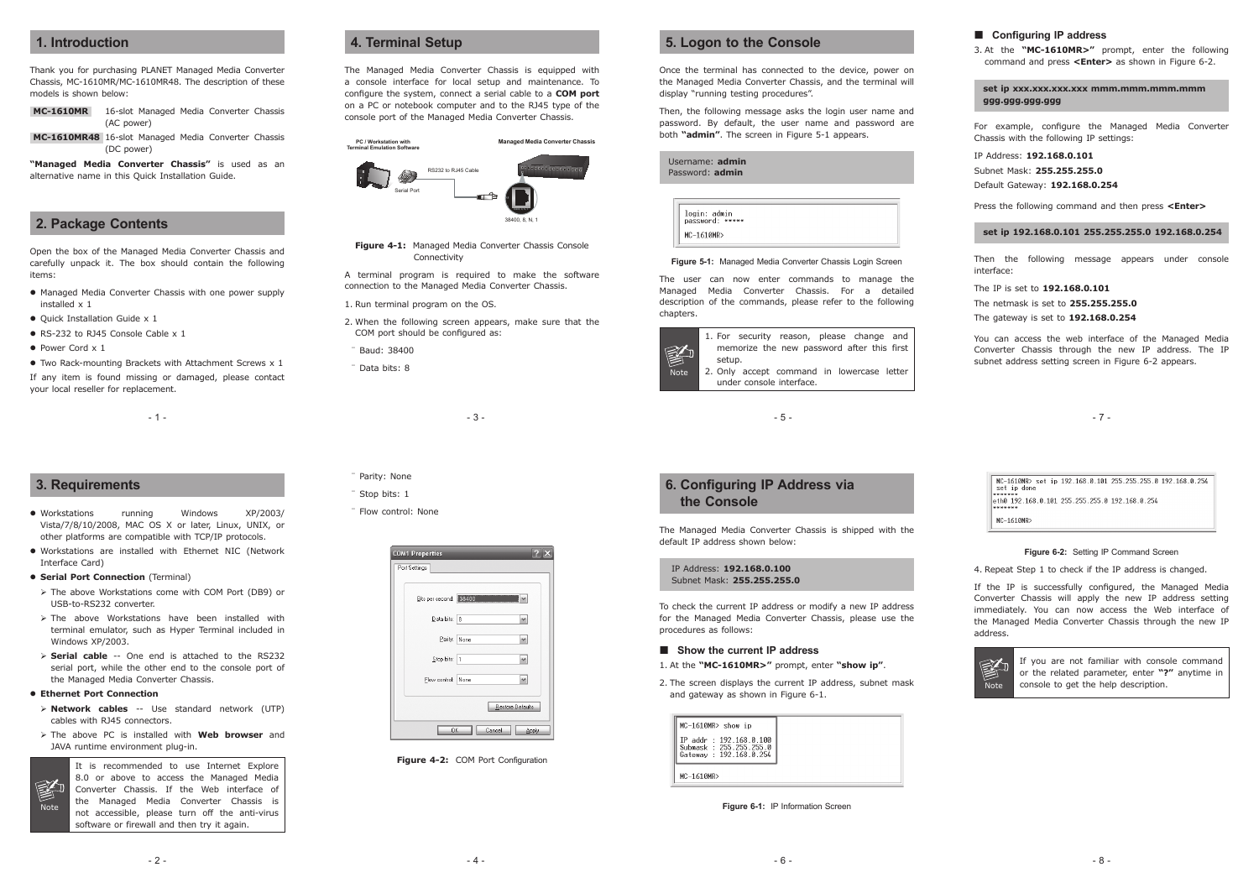- 3 -

- 5 -

- 7 -

MC-1610MR> set in 192.168.0.101.255.255.255.0.192.168.0.254 set ip done  $\begin{bmatrix} \text{maxmax} \\ \text{eth0} & 192.168.0.101 & 255.255.255.0 & 192.168.0.254 \end{bmatrix}$ MC-1610MR>

### **1. Introduction**

Thank you for purchasing PLANET Managed Media Converter Chassis, MC-1610MR/MC-1610MR48. The description of these models is shown below:

- **MC-1610MR** 16-slot Managed Media Converter Chassis (AC power)
- **MC-1610MR48** 16-slot Managed Media Converter Chassis (DC power)

**"Managed Media Converter Chassis"** is used as an alternative name in this Quick Installation Guide.

### **2. Package Contents**

Open the box of the Managed Media Converter Chassis and carefully unpack it. The box should contain the following items:

- Managed Media Converter Chassis with one power supply installed x 1
- Quick Installation Guide x 1
- RS-232 to RJ45 Console Cable x 1
- **Power Cord x 1**
- Two Rack-mounting Brackets with Attachment Screws x 1

If any item is found missing or damaged, please contact your local reseller for replacement.

 $-1 -$ 

## **4. Terminal Setup**

The Managed Media Converter Chassis is equipped with a console interface for local setup and maintenance. To configure the system, connect a serial cable to a **COM port**  on a PC or notebook computer and to the RJ45 type of the console port of the Managed Media Converter Chassis.



**Figure 4-1:** Managed Media Converter Chassis Console Connectivity

A terminal program is required to make the software connection to the Managed Media Converter Chassis.

- 1. Run terminal program on the OS.
- 2. When the following screen appears, make sure that the COM port should be configured as:
- ¨ Baud: 38400
- ¨ Data bits: 8

### **Configuring IP address**

3. At the **"MC-1610MR>"** prompt, enter the following command and press **<Enter>** as shown in Figure 6-2.

**set ip xxx.xxx.xxx.xxx mmm.mmm.mmm.mmm ggg.ggg.ggg.ggg**

For example, configure the Managed Media Converter Chassis with the following IP settings:

IP Address: **192.168.0.101** Subnet Mask: **255.255.255.0** Default Gateway: **192.168.0.254**

Press the following command and then press **<Enter>**

**set ip 192.168.0.101 255.255.255.0 192.168.0.254**

Then the following message appears under console interface:

- Parity: None
- ¨ Stop bits: 1
- ¨ Flow control: None

| <b>COM1 Properties</b> |                         |  |  |  |  |
|------------------------|-------------------------|--|--|--|--|
| Port Settings          |                         |  |  |  |  |
| Bits per second: 38400 |                         |  |  |  |  |
| Data bits: 8           |                         |  |  |  |  |
| Parity: None           |                         |  |  |  |  |
| Stop bits:  1          |                         |  |  |  |  |
| Flow control: None     |                         |  |  |  |  |
|                        | <b>Restore Defaults</b> |  |  |  |  |
| Cancel<br>OK<br>Apply  |                         |  |  |  |  |

**Figure 4-2: COM Port Configuration** 

The IP is set to **192.168.0.101**

The netmask is set to **255.255.255.0**

The gateway is set to **192.168.0.254**

You can access the web interface of the Managed Media Converter Chassis through the new IP address. The IP subnet address setting screen in Figure 6-2 appears.

### **5. Logon to the Console**

Once the terminal has connected to the device, power on the Managed Media Converter Chassis, and the terminal will display "running testing procedures".

Then, the following message asks the login user name and password. By default, the user name and password are both **"admin"**. The screen in Figure 5-1 appears.

|            | Username: admin<br>Password: admin |  |
|------------|------------------------------------|--|
| MC-1610MR> | login: admin<br>password: *****    |  |

#### **Figure 5-1:** Managed Media Converter Chassis Login Screen

The user can now enter commands to manage the Managed Media Converter Chassis. For a detailed description of the commands, please refer to the following chapters.



### **3. Requirements**

- Workstations running Windows XP/2003/ Vista/7/8/10/2008, MAC OS X or later, Linux, UNIX, or other platforms are compatible with TCP/IP protocols.
- Workstations are installed with Ethernet NIC (Network Interface Card)
- **Serial Port Connection** (Terminal)
- The above Workstations come with COM Port (DB9) or USB-to-RS232 converter.
- $\triangleright$  The above Workstations have been installed with terminal emulator, such as Hyper Terminal included in Windows XP/2003.
- **Serial cable** -- One end is attached to the RS232 serial port, while the other end to the console port of the Managed Media Converter Chassis.
- **Ethernet Port Connection**
- **Network cables** -- Use standard network (UTP) cables with RJ45 connectors.
- The above PC is installed with **Web browser** and JAVA runtime environment plug-in.



It is recommended to use Internet Explore 8.0 or above to access the Managed Media Converter Chassis. If the Web interface of the Managed Media Converter Chassis is not accessible, please turn off the anti-virus software or firewall and then try it again.

### **6. Configuring IP Address via the Console**

The Managed Media Converter Chassis is shipped with the default IP address shown below:

IP Address: **192.168.0.100** Subnet Mask: **255.255.255.0**

To check the current IP address or modify a new IP address for the Managed Media Converter Chassis, please use the procedures as follows:

#### ■ Show the current IP address

1. At the **"MC-1610MR>"** prompt, enter **"show ip"**.

2. The screen displays the current IP address, subnet mask and gateway as shown in Figure 6-1.

| IP addr : 192.168.0.100<br>Submask: 255.255.255.0 |
|---------------------------------------------------|
| Gateway : 192.168.0.254                           |

|  |  |  |  | Figure 6-1: IP Information Screen |  |
|--|--|--|--|-----------------------------------|--|
|--|--|--|--|-----------------------------------|--|

**Figure 6-2:** Setting IP Command Screen

4. Repeat Step 1 to check if the IP address is changed.

If the IP is successfully configured, the Managed Media Converter Chassis will apply the new IP address setting immediately. You can now access the Web interface of the Managed Media Converter Chassis through the new IP address.



If you are not familiar with console command or the related parameter, enter **"?"** anytime in console to get the help description.